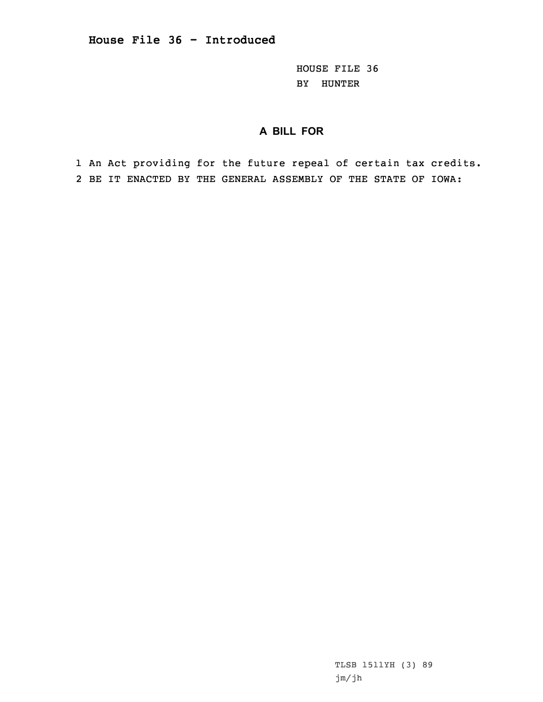HOUSE FILE 36 BY HUNTER

# **A BILL FOR**

1 An Act providing for the future repeal of certain tax credits. 2 BE IT ENACTED BY THE GENERAL ASSEMBLY OF THE STATE OF IOWA: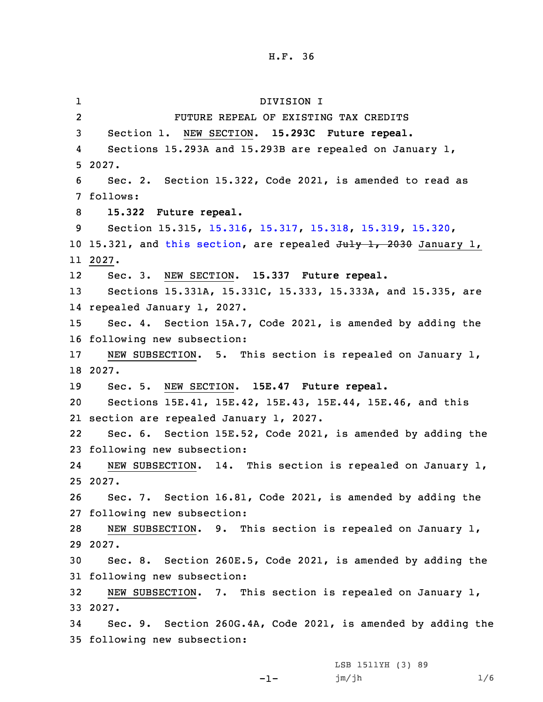1 DIVISION I 2 FUTURE REPEAL OF EXISTING TAX CREDITS 3 Section 1. NEW SECTION. **15.293C Future repeal.** 4 Sections 15.293A and 15.293B are repealed on January 1, 5 2027. 6 Sec. 2. Section 15.322, Code 2021, is amended to read as 7 follows: 8 **15.322 Future repeal.** 9 Section 15.315, [15.316](https://www.legis.iowa.gov/docs/code/2021/15.316.pdf), [15.317](https://www.legis.iowa.gov/docs/code/2021/15.317.pdf), [15.318](https://www.legis.iowa.gov/docs/code/2021/15.318.pdf), [15.319](https://www.legis.iowa.gov/docs/code/2021/15.319.pdf), [15.320](https://www.legis.iowa.gov/docs/code/2021/15.320.pdf), 10 15.321, and this [section](https://www.legis.iowa.gov/docs/code/2021/15.322.pdf), are repealed July 1, 2030 January 1, 11 2027. 12 Sec. 3. NEW SECTION. **15.337 Future repeal.** 13 Sections 15.331A, 15.331C, 15.333, 15.333A, and 15.335, are 14 repealed January 1, 2027. 15 Sec. 4. Section 15A.7, Code 2021, is amended by adding the 16 following new subsection: 17 NEW SUBSECTION. 5. This section is repealed on January 1, 18 2027. 19 Sec. 5. NEW SECTION. **15E.47 Future repeal.** 20 Sections 15E.41, 15E.42, 15E.43, 15E.44, 15E.46, and this 21 section are repealed January 1, 2027. 22 Sec. 6. Section 15E.52, Code 2021, is amended by adding the 23 following new subsection: 24 NEW SUBSECTION. 14. This section is repealed on January 1, 25 2027. 26 Sec. 7. Section 16.81, Code 2021, is amended by adding the 27 following new subsection: 28 NEW SUBSECTION. 9. This section is repealed on January 1, 29 2027. 30 Sec. 8. Section 260E.5, Code 2021, is amended by adding the 31 following new subsection: 32 NEW SUBSECTION. 7. This section is repealed on January 1, 33 2027. 34 Sec. 9. Section 260G.4A, Code 2021, is amended by adding the 35 following new subsection:

-1-

LSB 1511YH (3) 89 jm/jh 1/6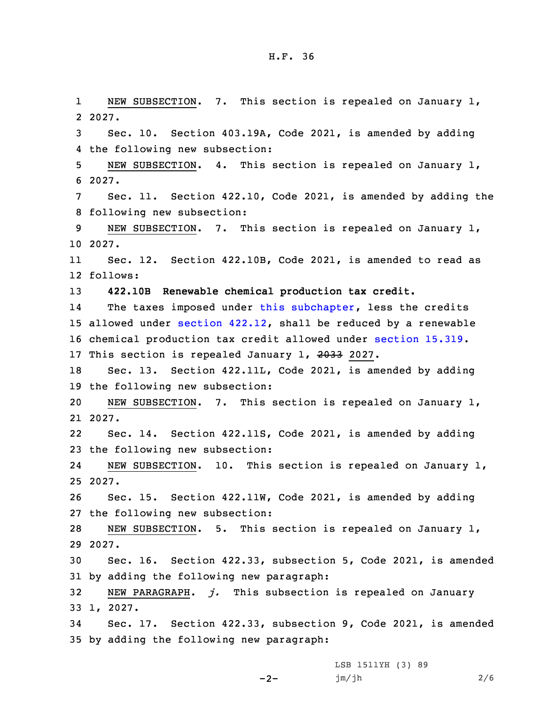1 NEW SUBSECTION. 7. This section is repealed on January 1, 2 2027. 3 Sec. 10. Section 403.19A, Code 2021, is amended by adding 4 the following new subsection: 5 NEW SUBSECTION. 4. This section is repealed on January 1, 6 2027. 7 Sec. 11. Section 422.10, Code 2021, is amended by adding the 8 following new subsection: 9 NEW SUBSECTION. 7. This section is repealed on January 1, 10 2027. 11 Sec. 12. Section 422.10B, Code 2021, is amended to read as 12 follows: 13 **422.10B Renewable chemical production tax credit.** 14The taxes imposed under this [subchapter](https://www.legis.iowa.gov/docs/code/2021/422.pdf), less the credits 15 allowed under section [422.12](https://www.legis.iowa.gov/docs/code/2021/422.12.pdf), shall be reduced by <sup>a</sup> renewable 16 chemical production tax credit allowed under [section](https://www.legis.iowa.gov/docs/code/2021/15.319.pdf) 15.319. 17 This section is repealed January 1, 2033 2027. 18 Sec. 13. Section 422.11L, Code 2021, is amended by adding 19 the following new subsection: 20 NEW SUBSECTION. 7. This section is repealed on January 1, 21 2027. 22 Sec. 14. Section 422.11S, Code 2021, is amended by adding 23 the following new subsection: 24 NEW SUBSECTION. 10. This section is repealed on January 1, 25 2027. 26 Sec. 15. Section 422.11W, Code 2021, is amended by adding 27 the following new subsection: 28 NEW SUBSECTION. 5. This section is repealed on January 1, 29 2027. 30 Sec. 16. Section 422.33, subsection 5, Code 2021, is amended 31 by adding the following new paragraph: 32 NEW PARAGRAPH. *j.* This subsection is repealed on January 33 1, 2027. 34 Sec. 17. Section 422.33, subsection 9, Code 2021, is amended 35 by adding the following new paragraph:

 $-2-$ 

LSB 1511YH (3) 89 jm/jh 2/6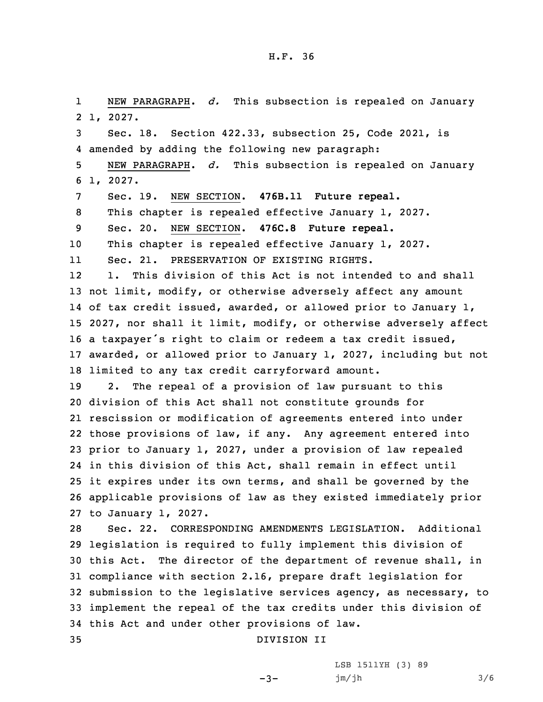1 NEW PARAGRAPH. *d.* This subsection is repealed on January 2 1, 2027. Sec. 18. Section 422.33, subsection 25, Code 2021, is amended by adding the following new paragraph: NEW PARAGRAPH. *d.* This subsection is repealed on January 6 1, 2027. Sec. 19. NEW SECTION. **476B.11 Future repeal.** This chapter is repealed effective January 1, 2027. Sec. 20. NEW SECTION. **476C.8 Future repeal.** This chapter is repealed effective January 1, 2027. 11 Sec. 21. PRESERVATION OF EXISTING RIGHTS. 12 1. This division of this Act is not intended to and shall 13 not limit, modify, or otherwise adversely affect any amount of tax credit issued, awarded, or allowed prior to January 1, 2027, nor shall it limit, modify, or otherwise adversely affect <sup>a</sup> taxpayer's right to claim or redeem <sup>a</sup> tax credit issued, awarded, or allowed prior to January 1, 2027, including but not limited to any tax credit carryforward amount. 2. The repeal of <sup>a</sup> provision of law pursuant to this division of this Act shall not constitute grounds for rescission or modification of agreements entered into under those provisions of law, if any. Any agreement entered into prior to January 1, 2027, under <sup>a</sup> provision of law repealed in this division of this Act, shall remain in effect until it expires under its own terms, and shall be governed by the applicable provisions of law as they existed immediately prior to January 1, 2027. Sec. 22. CORRESPONDING AMENDMENTS LEGISLATION. Additional legislation is required to fully implement this division of this Act. The director of the department of revenue shall, in compliance with section 2.16, prepare draft legislation for submission to the legislative services agency, as necessary, to implement the repeal of the tax credits under this division of this Act and under other provisions of law. DIVISION II

 $-3-$ 

LSB 1511YH (3) 89 jm/jh 3/6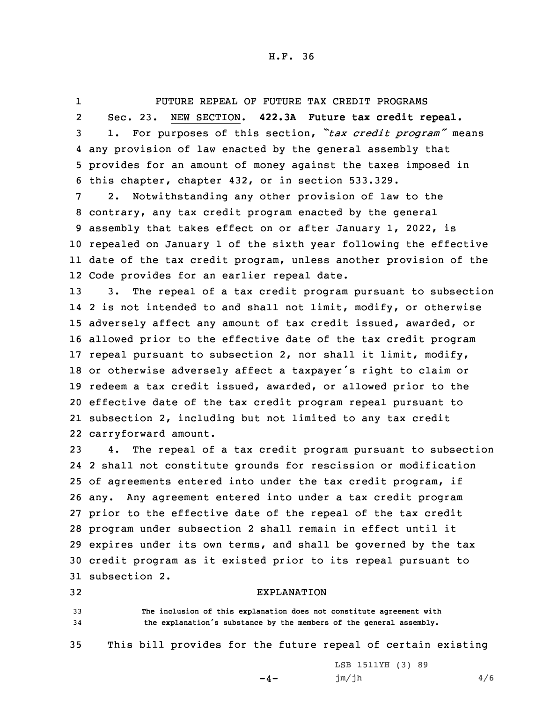1 FUTURE REPEAL OF FUTURE TAX CREDIT PROGRAMS 2 Sec. 23. NEW SECTION. **422.3A Future tax credit repeal.** <sup>3</sup> 1. For purposes of this section, *"tax credit program"* means 4 any provision of law enacted by the general assembly that 5 provides for an amount of money against the taxes imposed in 6 this chapter, chapter 432, or in section 533.329. 7 2. Notwithstanding any other provision of law to the

 contrary, any tax credit program enacted by the general assembly that takes effect on or after January 1, 2022, is repealed on January 1 of the sixth year following the effective date of the tax credit program, unless another provision of the Code provides for an earlier repeal date.

 3. The repeal of <sup>a</sup> tax credit program pursuant to subsection 2 is not intended to and shall not limit, modify, or otherwise adversely affect any amount of tax credit issued, awarded, or allowed prior to the effective date of the tax credit program repeal pursuant to subsection 2, nor shall it limit, modify, or otherwise adversely affect <sup>a</sup> taxpayer's right to claim or redeem <sup>a</sup> tax credit issued, awarded, or allowed prior to the effective date of the tax credit program repeal pursuant to subsection 2, including but not limited to any tax credit carryforward amount.

 4. The repeal of <sup>a</sup> tax credit program pursuant to subsection 2 shall not constitute grounds for rescission or modification of agreements entered into under the tax credit program, if any. Any agreement entered into under <sup>a</sup> tax credit program prior to the effective date of the repeal of the tax credit program under subsection 2 shall remain in effect until it expires under its own terms, and shall be governed by the tax credit program as it existed prior to its repeal pursuant to subsection 2.

32 EXPLANATION

33 **The inclusion of this explanation does not constitute agreement with** <sup>34</sup> **the explanation's substance by the members of the general assembly.**

35 This bill provides for the future repeal of certain existing

 $-4-$ 

LSB 1511YH (3) 89 jm/jh 4/6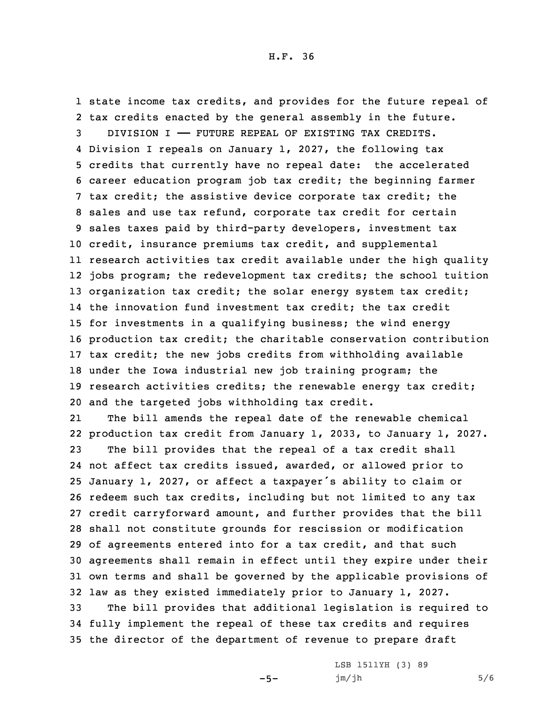state income tax credits, and provides for the future repeal of tax credits enacted by the general assembly in the future. DIVISION I —— FUTURE REPEAL OF EXISTING TAX CREDITS. Division <sup>I</sup> repeals on January 1, 2027, the following tax credits that currently have no repeal date: the accelerated career education program job tax credit; the beginning farmer tax credit; the assistive device corporate tax credit; the sales and use tax refund, corporate tax credit for certain sales taxes paid by third-party developers, investment tax credit, insurance premiums tax credit, and supplemental research activities tax credit available under the high quality jobs program; the redevelopment tax credits; the school tuition 13 organization tax credit; the solar energy system tax credit; the innovation fund investment tax credit; the tax credit for investments in <sup>a</sup> qualifying business; the wind energy production tax credit; the charitable conservation contribution tax credit; the new jobs credits from withholding available under the Iowa industrial new job training program; the research activities credits; the renewable energy tax credit; and the targeted jobs withholding tax credit.

21 The bill amends the repeal date of the renewable chemical production tax credit from January 1, 2033, to January 1, 2027. The bill provides that the repeal of <sup>a</sup> tax credit shall not affect tax credits issued, awarded, or allowed prior to January 1, 2027, or affect <sup>a</sup> taxpayer's ability to claim or redeem such tax credits, including but not limited to any tax credit carryforward amount, and further provides that the bill shall not constitute grounds for rescission or modification of agreements entered into for <sup>a</sup> tax credit, and that such agreements shall remain in effect until they expire under their own terms and shall be governed by the applicable provisions of law as they existed immediately prior to January 1, 2027. The bill provides that additional legislation is required to

34 fully implement the repeal of these tax credits and requires 35 the director of the department of revenue to prepare draft

 $-5-$ 

LSB 1511YH (3) 89 jm/jh 5/6